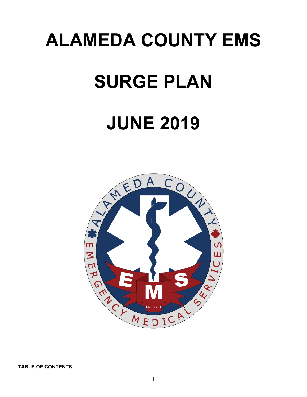# **ALAMEDA COUNTY EMS**

# **SURGE PLAN**

# **JUNE 2019**



**TABLE OF CONTENTS**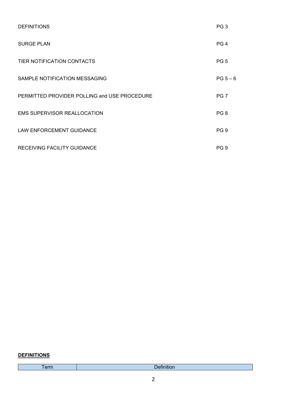| <b>DEFINITIONS</b>                           | PG <sub>3</sub> |
|----------------------------------------------|-----------------|
| <b>SURGE PLAN</b>                            | PG <sub>4</sub> |
| TIER NOTIFICATION CONTACTS                   | PG <sub>5</sub> |
| SAMPLE NOTIFICATION MESSAGING                | $PG 5-6$        |
| PERMITTED PROVIDER POLLING and USE PROCEDURE | PG <sub>7</sub> |
| <b>EMS SUPERVISOR REALLOCATION</b>           | PG <sub>8</sub> |
| <b>LAW ENFORCEMENT GUIDANCE</b>              | PG <sub>9</sub> |
| RECEIVING FACILITY GUIDANCE                  | PG <sub>9</sub> |

### **DEFINITIONS**

Term Definition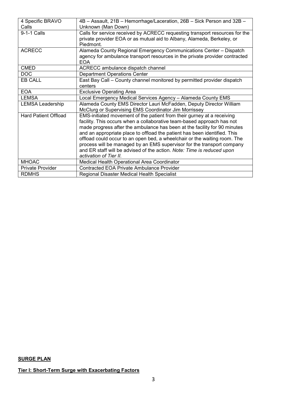| 4 Specific BRAVO            | 4B - Assault, 21B - Hemorrhage/Laceration, 26B - Sick Person and 32B -      |
|-----------------------------|-----------------------------------------------------------------------------|
| Calls                       | Unknown (Man Down)                                                          |
| 9-1-1 Calls                 | Calls for service received by ACRECC requesting transport resources for the |
|                             | private provider EOA or as mutual aid to Albany, Alameda, Berkeley, or      |
|                             | Piedmont.                                                                   |
| <b>ACRECC</b>               | Alameda County Regional Emergency Communications Center - Dispatch          |
|                             | agency for ambulance transport resources in the private provider contracted |
|                             | <b>EOA</b>                                                                  |
| <b>CMED</b>                 | ACRECC ambulance dispatch channel                                           |
| DOC                         | <b>Department Operations Center</b>                                         |
| EB CALL                     | East Bay Call - County channel monitored by permitted provider dispatch     |
|                             | centers                                                                     |
| <b>EOA</b>                  | <b>Exclusive Operating Area</b>                                             |
| <b>LEMSA</b>                | Local Emergency Medical Services Agency - Alameda County EMS                |
| <b>LEMSA Leadership</b>     | Alameda County EMS Director Lauri McFadden, Deputy Director William         |
|                             | McClurg or Supervising EMS Coordinator Jim Morrissey                        |
| <b>Hard Patient Offload</b> | EMS-initiated movement of the patient from their gurney at a receiving      |
|                             | facility. This occurs when a collaborative team-based approach has not      |
|                             | made progress after the ambulance has been at the facility for 90 minutes   |
|                             | and an appropriate place to offload the patient has been identified. This   |
|                             | offload could occur to an open bed, a wheelchair or the waiting room. The   |
|                             | process will be managed by an EMS supervisor for the transport company      |
|                             | and ER staff will be advised of the action. Note: Time is reduced upon      |
|                             | activation of Tier II.                                                      |
| <b>MHOAC</b>                | Medical Health Operational Area Coordinator                                 |
| <b>Private Provider</b>     | <b>Contracted EOA Private Ambulance Provider</b>                            |
| <b>RDMHS</b>                | Regional Disaster Medical Health Specialist                                 |

## **SURGE PLAN**

## **Tier I: Short-Term Surge with Exacerbating Factors**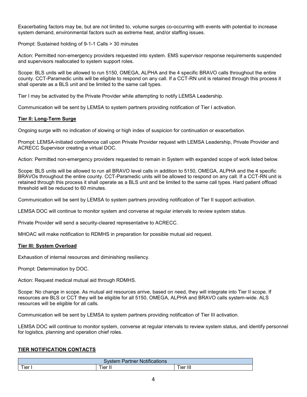Exacerbating factors may be, but are not limited to, volume surges co-occurring with events with potential to increase system demand, environmental factors such as extreme heat, and/or staffing issues.

Prompt: Sustained holding of 9-1-1 Calls > 30 minutes

Action: Permitted non-emergency providers requested into system. EMS supervisor response requirements suspended and supervisors reallocated to system support roles.

Scope: BLS units will be allowed to run 5150, OMEGA, ALPHA and the 4 specific BRAVO calls throughout the entire county. CCT-Paramedic units will be eligible to respond on any call. If a CCT-RN unit is retained through this process it shall operate as a BLS unit and be limited to the same call types.

Tier I may be activated by the Private Provider while attempting to notify LEMSA Leadership.

Communication will be sent by LEMSA to system partners providing notification of Tier I activation.

#### **Tier II: Long-Term Surge**

Ongoing surge with no indication of slowing or high index of suspicion for continuation or exacerbation.

Prompt: LEMSA-initiated conference call upon Private Provider request with LEMSA Leadership, Private Provider and ACRECC Supervisor creating a virtual DOC.

Action: Permitted non-emergency providers requested to remain in System with expanded scope of work listed below.

Scope: BLS units will be allowed to run all BRAVO level calls in addition to 5150, OMEGA, ALPHA and the 4 specific BRAVOs throughout the entire county. CCT-Paramedic units will be allowed to respond on any call. If a CCT-RN unit is retained through this process it shall operate as a BLS unit and be limited to the same call types. Hard patient offload threshold will be reduced to 60 minutes.

Communication will be sent by LEMSA to system partners providing notification of Tier II support activation.

LEMSA DOC will continue to monitor system and converse at regular intervals to review system status.

Private Provider will send a security-cleared representative to ACRECC.

MHOAC will make notification to RDMHS in preparation for possible mutual aid request.

#### **Tier III: System Overload**

Exhaustion of internal resources and diminishing resiliency.

Prompt: Determination by DOC.

Action: Request medical mutual aid through RDMHS.

Scope: No change in scope. As mutual aid resources arrive, based on need, they will integrate into Tier II scope. If resources are BLS or CCT they will be eligible for all 5150, OMEGA, ALPHA and BRAVO calls system-wide. ALS resources will be eligible for all calls.

Communication will be sent by LEMSA to system partners providing notification of Tier III activation.

LEMSA DOC will continue to monitor system, converse at regular intervals to review system status, and identify personnel for logistics, planning and operation chief roles.

#### **TIER NOTIFICATION CONTACTS**

| 1.000<br>arme<br><b>NOTITICATIONS</b> |        |                      |  |
|---------------------------------------|--------|----------------------|--|
| <b>Tier</b>                           | ier II | .<br>--<br>ler<br>ĦШ |  |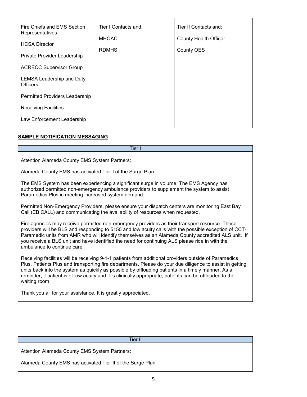| Fire Chiefs and EMS Section<br>Representatives | Tier I Contacts and: | Tier II Contacts and:        |
|------------------------------------------------|----------------------|------------------------------|
| <b>HCSA Director</b>                           | <b>MHOAC</b>         | <b>County Health Officer</b> |
| Private Provider Leadership                    | <b>RDMHS</b>         | County OES                   |
| <b>ACRECC Supervisor Group</b>                 |                      |                              |
| <b>LEMSA Leadership and Duty</b>               |                      |                              |
| <b>Officers</b>                                |                      |                              |
| Permitted Providers Leadership                 |                      |                              |
| <b>Receiving Facilities</b>                    |                      |                              |
| Law Enforcement Leadership                     |                      |                              |
|                                                |                      |                              |

### **SAMPLE NOTIFICATION MESSAGING**

| Tier I                                                                                                                                                                                                                                                                                                                                                                                                                                              |
|-----------------------------------------------------------------------------------------------------------------------------------------------------------------------------------------------------------------------------------------------------------------------------------------------------------------------------------------------------------------------------------------------------------------------------------------------------|
| <b>Attention Alameda County EMS System Partners:</b>                                                                                                                                                                                                                                                                                                                                                                                                |
| Alameda County EMS has activated Tier I of the Surge Plan.                                                                                                                                                                                                                                                                                                                                                                                          |
| The EMS System has been experiencing a significant surge in volume. The EMS Agency has<br>authorized permitted non-emergency ambulance providers to supplement the system to assist<br>Paramedics Plus in meeting increased system demand.                                                                                                                                                                                                          |
| Permitted Non-Emergency Providers, please ensure your dispatch centers are monitoring East Bay<br>Call (EB CALL) and communicating the availability of resources when requested.                                                                                                                                                                                                                                                                    |
| Fire agencies may receive permitted non-emergency providers as their transport resource. These<br>providers will be BLS and responding to 5150 and low acuity calls with the possible exception of CCT-<br>Paramedic units from AMR who will identify themselves as an Alameda County accredited ALS unit. If<br>you receive a BLS unit and have identified the need for continuing ALS please ride in with the<br>ambulance to continue care.      |
| Receiving facilities will be receiving 9-1-1 patients from additional providers outside of Paramedics<br>Plus, Patients Plus and transporting fire departments. Please do your due diligence to assist in getting<br>units back into the system as quickly as possible by offloading patients in a timely manner. As a<br>reminder, if patient is of low acuity and it is clinically appropriate, patients can be offloaded to the<br>waiting room. |
| Thank you all for your assistance. It is greatly appreciated.                                                                                                                                                                                                                                                                                                                                                                                       |
|                                                                                                                                                                                                                                                                                                                                                                                                                                                     |
| <b>Tier II</b>                                                                                                                                                                                                                                                                                                                                                                                                                                      |
| Attention Alameda County EMS System Partners:                                                                                                                                                                                                                                                                                                                                                                                                       |

Alameda County EMS has activated Tier II of the Surge Plan.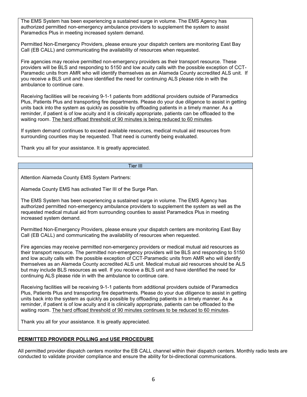The EMS System has been experiencing a sustained surge in volume. The EMS Agency has authorized permitted non-emergency ambulance providers to supplement the system to assist Paramedics Plus in meeting increased system demand.

Permitted Non-Emergency Providers, please ensure your dispatch centers are monitoring East Bay Call (EB CALL) and communicating the availability of resources when requested.

Fire agencies may receive permitted non-emergency providers as their transport resource. These providers will be BLS and responding to 5150 and low acuity calls with the possible exception of CCT-Paramedic units from AMR who will identify themselves as an Alameda County accredited ALS unit. If you receive a BLS unit and have identified the need for continuing ALS please ride in with the ambulance to continue care.

Receiving facilities will be receiving 9-1-1 patients from additional providers outside of Paramedics Plus, Patients Plus and transporting fire departments. Please do your due diligence to assist in getting units back into the system as quickly as possible by offloading patients in a timely manner. As a reminder, if patient is of low acuity and it is clinically appropriate, patients can be offloaded to the waiting room. The hard offload threshold of 90 minutes is being reduced to 60 minutes.

If system demand continues to exceed available resources, medical mutual aid resources from surrounding counties may be requested. That need is currently being evaluated.

Thank you all for your assistance. It is greatly appreciated.

#### Tier III

Attention Alameda County EMS System Partners:

Alameda County EMS has activated Tier III of the Surge Plan.

The EMS System has been experiencing a sustained surge in volume. The EMS Agency has authorized permitted non-emergency ambulance providers to supplement the system as well as the requested medical mutual aid from surrounding counties to assist Paramedics Plus in meeting increased system demand.

Permitted Non-Emergency Providers, please ensure your dispatch centers are monitoring East Bay Call (EB CALL) and communicating the availability of resources when requested.

Fire agencies may receive permitted non-emergency providers or medical mutual aid resources as their transport resource. The permitted non-emergency providers will be BLS and responding to 5150 and low acuity calls with the possible exception of CCT-Paramedic units from AMR who will identify themselves as an Alameda County accredited ALS unit. Medical mutual aid resources should be ALS but may include BLS resources as well. If you receive a BLS unit and have identified the need for continuing ALS please ride in with the ambulance to continue care.

Receiving facilities will be receiving 9-1-1 patients from additional providers outside of Paramedics Plus, Patients Plus and transporting fire departments. Please do your due diligence to assist in getting units back into the system as quickly as possible by offloading patients in a timely manner. As a reminder, if patient is of low acuity and it is clinically appropriate, patients can be offloaded to the waiting room. The hard offload threshold of 90 minutes continues to be reduced to 60 minutes.

Thank you all for your assistance. It is greatly appreciated.

### **PERMITTED PROVIDER POLLING and USE PROCEDURE**

All permitted provider dispatch centers monitor the EB CALL channel within their dispatch centers. Monthly radio tests are conducted to validate provider compliance and ensure the ability for bi-directional communications.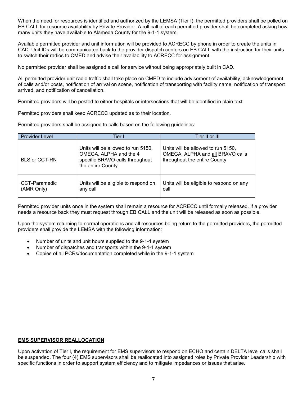When the need for resources is identified and authorized by the LEMSA (Tier I), the permitted providers shall be polled on EB CALL for resource availability by Private Provider. A roll call of each permitted provider shall be completed asking how many units they have available to Alameda County for the 9-1-1 system.

Available permitted provider and unit information will be provided to ACRECC by phone in order to create the units in CAD. Unit IDs will be communicated back to the provider dispatch centers on EB CALL with the instruction for their units to switch their radios to CMED and advise their availability to ACRECC for assignment.

No permitted provider shall be assigned a call for service without being appropriately built in CAD.

All permitted provider unit radio traffic shall take place on CMED to include advisement of availability, acknowledgement of calls and/or posts, notification of arrival on scene, notification of transporting with facility name, notification of transport arrived, and notification of cancellation.

Permitted providers will be posted to either hospitals or intersections that will be identified in plain text.

Permitted providers shall keep ACRECC updated as to their location.

Permitted providers shall be assigned to calls based on the following guidelines:

| <b>Provider Level</b>       | Tier I                                                                                                               | Tier II or III                                                                                         |
|-----------------------------|----------------------------------------------------------------------------------------------------------------------|--------------------------------------------------------------------------------------------------------|
| <b>BLS or CCT-RN</b>        | Units will be allowed to run 5150,<br>OMEGA, ALPHA and the 4<br>specific BRAVO calls throughout<br>the entire County | Units will be allowed to run 5150,<br>OMEGA, ALPHA and all BRAVO calls<br>throughout the entire County |
| CCT-Paramedic<br>(AMR Only) | Units will be eligible to respond on<br>any call                                                                     | Units will be eligible to respond on any<br>call                                                       |

Permitted provider units once in the system shall remain a resource for ACRECC until formally released. If a provider needs a resource back they must request through EB CALL and the unit will be released as soon as possible.

Upon the system returning to normal operations and all resources being return to the permitted providers, the permitted providers shall provide the LEMSA with the following information:

- Number of units and unit hours supplied to the 9-1-1 system
- Number of dispatches and transports within the 9-1-1 system
- Copies of all PCRs/documentation completed while in the 9-1-1 system

#### **EMS SUPERVISOR REALLOCATION**

Upon activation of Tier I, the requirement for EMS supervisors to respond on ECHO and certain DELTA level calls shall be suspended. The four (4) EMS supervisors shall be reallocated into assigned roles by Private Provider Leadership with specific functions in order to support system efficiency and to mitigate impedances or issues that arise.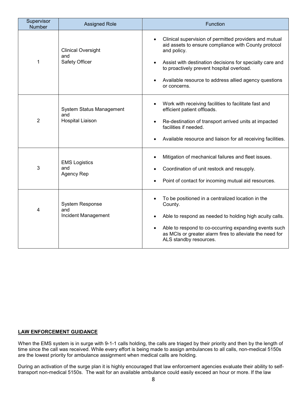| Supervisor<br>Number | <b>Assigned Role</b>                                       | Function                                                                                                                                                                                                                                                                                                        |
|----------------------|------------------------------------------------------------|-----------------------------------------------------------------------------------------------------------------------------------------------------------------------------------------------------------------------------------------------------------------------------------------------------------------|
| 1                    | <b>Clinical Oversight</b><br>and<br>Safety Officer         | Clinical supervision of permitted providers and mutual<br>aid assets to ensure compliance with County protocol<br>and policy.<br>Assist with destination decisions for specialty care and<br>to proactively prevent hospital overload.<br>Available resource to address allied agency questions<br>or concerns. |
| 2                    | System Status Management<br>and<br><b>Hospital Liaison</b> | Work with receiving facilities to facilitate fast and<br>efficient patient offloads.<br>Re-destination of transport arrived units at impacted<br>facilities if needed.<br>Available resource and liaison for all receiving facilities.                                                                          |
| 3                    | <b>EMS Logistics</b><br>and<br>Agency Rep                  | Mitigation of mechanical failures and fleet issues.<br>Coordination of unit restock and resupply.<br>Point of contact for incoming mutual aid resources.                                                                                                                                                        |
| 4                    | <b>System Response</b><br>and<br>Incident Management       | To be positioned in a centralized location in the<br>County.<br>Able to respond as needed to holding high acuity calls.<br>Able to respond to co-occurring expanding events such<br>as MCIs or greater alarm fires to alleviate the need for<br>ALS standby resources.                                          |

#### **LAW ENFORCEMENT GUIDANCE**

When the EMS system is in surge with 9-1-1 calls holding, the calls are triaged by their priority and then by the length of time since the call was received. While every effort is being made to assign ambulances to all calls, non-medical 5150s are the lowest priority for ambulance assignment when medical calls are holding.

During an activation of the surge plan it is highly encouraged that law enforcement agencies evaluate their ability to selftransport non-medical 5150s. The wait for an available ambulance could easily exceed an hour or more. If the law